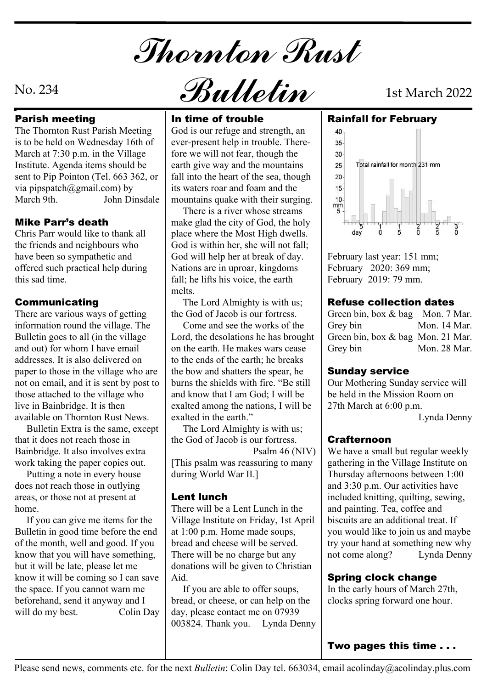Thornton Rust

The Thornton Rust Parish Meeting is to be held on Wednesday 16th of March at 7:30 p.m. in the Village Institute. Agenda items should be sent to Pip Pointon (Tel. 663 362, or via pipspatch@gmail.com) by March 9th. John Dinsdale | mountains quake with their surging. | 10

Chris Parr would like to thank all the friends and neighbours who have been so sympathetic and offered such practical help during this sad time.

There are various ways of getting information round the village. The Bulletin goes to all (in the village and out) for whom I have email addresses. It is also delivered on paper to those in the village who are not on email, and it is sent by post to those attached to the village who live in Bainbridge. It is then available on Thornton Rust News.

 Bulletin Extra is the same, except that it does not reach those in Bainbridge. It also involves extra work taking the paper copies out.

 Putting a note in every house does not reach those in outlying areas, or those not at present at **Lent lunch** home.

 If you can give me items for the Bulletin in good time before the end of the month, well and good. If you know that you will have something, but it will be late, please let me know it will be coming so I can save the space. If you cannot warn me beforehand, send it anyway and I will do my best. Colin Day day, please contact me on 07939

No. 234  $\mathcal{B}$ ulletin 1st March 2022

### Parish meeting and all in time of trouble

God is our refuge and strength, an  $\vert$  40 ever-present help in trouble. Therefore we will not fear, though the earth give way and the mountains <br>  $\vert$  25-<br>Total rainfall for month 231 mm fall into the heart of the sea, though 20 its waters roar and foam and the buntains quake with their surging.<br>There is a river whose streams

**Mike Parr's death**  $\parallel$  make glad the city of God, the holy  $\parallel$ place where the Most High dwells. God is within her, she will not fall; God will help her at break of day. Nations are in uproar, kingdoms fall; he lifts his voice, the earth melts.

**Communicating The Lord Almighty is with us; Refuse** the God of Jacob is our fortress.

> Come and see the works of the Grey bin Lord, the desolations he has brought on the earth. He makes wars cease | Grey bin to the ends of the earth; he breaks the bow and shatters the spear, he burns the shields with fire. "Be still and know that I am God; I will be exalted among the nations, I will be exalted in the earth."

 The Lord Almighty is with us; the God of Jacob is our fortress.

[This psalm was reassuring to many during World War II.]

There will be a Lent Lunch in the Village Institute on Friday, 1st April at 1:00 p.m. Home made soups, bread and cheese will be served. There will be no charge but any donations will be given to Christian Aid.

 If you are able to offer soups, bread, or cheese, or can help on the 003824. Thank you. Lynda Denny

In time of trouble Rainfall for February



February last year: 151 mm; February 2020: 369 mm; February 2019: 79 mm.

### Refuse collection dates

Green bin, box & bag Mon. 7 Mar. Mon. 14 Mar. Green bin, box & bag Mon. 21 Mar. Mon. 28 Mar.

### Sunday service

Our Mothering Sunday service will be held in the Mission Room on 27th March at 6:00 p.m.

Lynda Denny

### Crafternoon

 Psalm 46 (NIV) We have a small but regular weekly **Lent lunch**  $\vert$  included knitting, quilting, sewing, gathering in the Village Institute on Thursday afternoons between 1:00 and 3:30 p.m. Our activities have and painting. Tea, coffee and biscuits are an additional treat. If you would like to join us and maybe try your hand at something new why not come along? Lynda Denny

### Spring clock change

In the early hours of March 27th, clocks spring forward one hour.

Two pages this time . . .